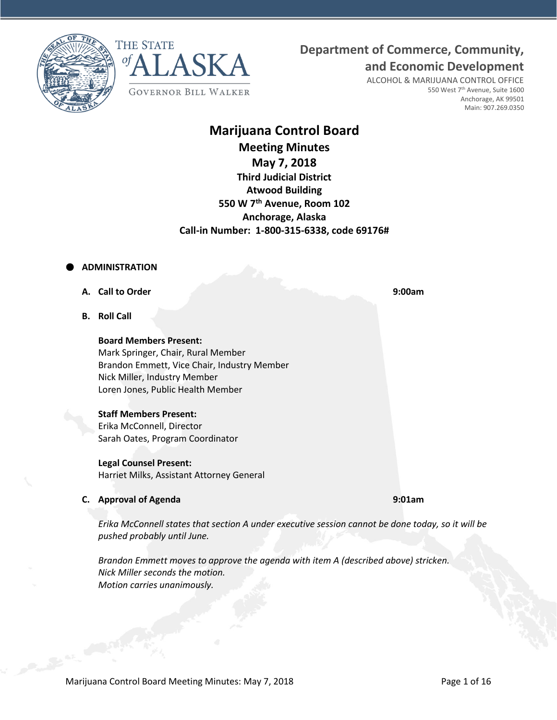**Department of Commerce, Community,**





ALCOHOL & MARIJUANA CONTROL OFFICE 550 West 7<sup>th</sup> Avenue, Suite 1600 Anchorage, AK 99501 Main: 907.269.0350

**and Economic Development**

# **Marijuana Control Board**

**Meeting Minutes May 7, 2018 Third Judicial District** 

**Atwood Building 550 W 7th Avenue, Room 102 Anchorage, Alaska Call-in Number: 1-800-315-6338, code 69176#**

# **ADMINISTRATION**

- **A. Call to Order 9:00am**
- **B. Roll Call**

**Board Members Present:** Mark Springer, Chair, Rural Member Brandon Emmett, Vice Chair, Industry Member Nick Miller, Industry Member Loren Jones, Public Health Member

# **Staff Members Present:**

Erika McConnell, Director Sarah Oates, Program Coordinator

# **Legal Counsel Present:**

Harriet Milks, Assistant Attorney General

# **C. Approval of Agenda 9:01am**

*Erika McConnell states that section A under executive session cannot be done today, so it will be pushed probably until June.*

*Brandon Emmett moves to approve the agenda with item A (described above) stricken. Nick Miller seconds the motion. Motion carries unanimously.*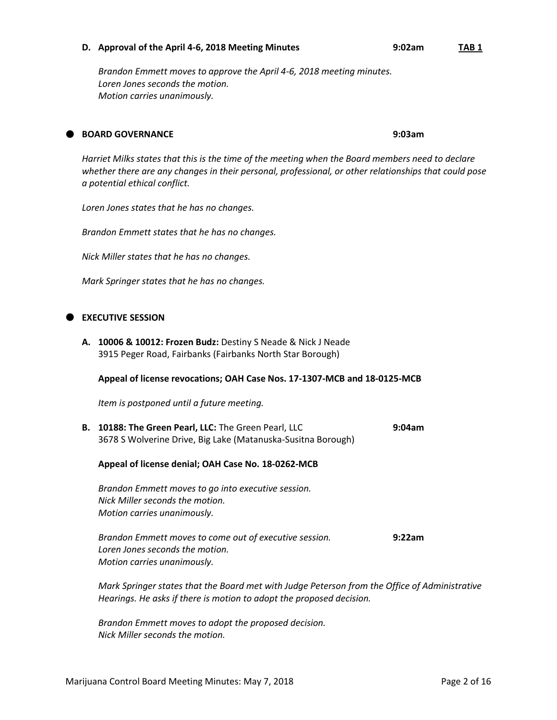#### **D. Approval of the April 4-6, 2018 Meeting Minutes 9:02am TAB 1**

*Brandon Emmett moves to approve the April 4-6, 2018 meeting minutes. Loren Jones seconds the motion. Motion carries unanimously.*

# **BOARD GOVERNANCE 9:03am**

*Harriet Milks states that this is the time of the meeting when the Board members need to declare whether there are any changes in their personal, professional, or other relationships that could pose a potential ethical conflict.*

*Loren Jones states that he has no changes.*

*Brandon Emmett states that he has no changes.*

*Nick Miller states that he has no changes.*

*Mark Springer states that he has no changes.*

# **EXECUTIVE SESSION**

**A. 10006 & 10012: Frozen Budz:** Destiny S Neade & Nick J Neade 3915 Peger Road, Fairbanks (Fairbanks North Star Borough)

#### **Appeal of license revocations; OAH Case Nos. 17-1307-MCB and 18-0125-MCB**

*Item is postponed until a future meeting.*

**B. 10188: The Green Pearl, LLC:** The Green Pearl, LLC **9:04am** 3678 S Wolverine Drive, Big Lake (Matanuska-Susitna Borough)

# **Appeal of license denial; OAH Case No. 18-0262-MCB**

*Brandon Emmett moves to go into executive session. Nick Miller seconds the motion. Motion carries unanimously.*

*Brandon Emmett moves to come out of executive session.* **9:22am** *Loren Jones seconds the motion. Motion carries unanimously.*

*Mark Springer states that the Board met with Judge Peterson from the Office of Administrative Hearings. He asks if there is motion to adopt the proposed decision.*

*Brandon Emmett moves to adopt the proposed decision. Nick Miller seconds the motion.*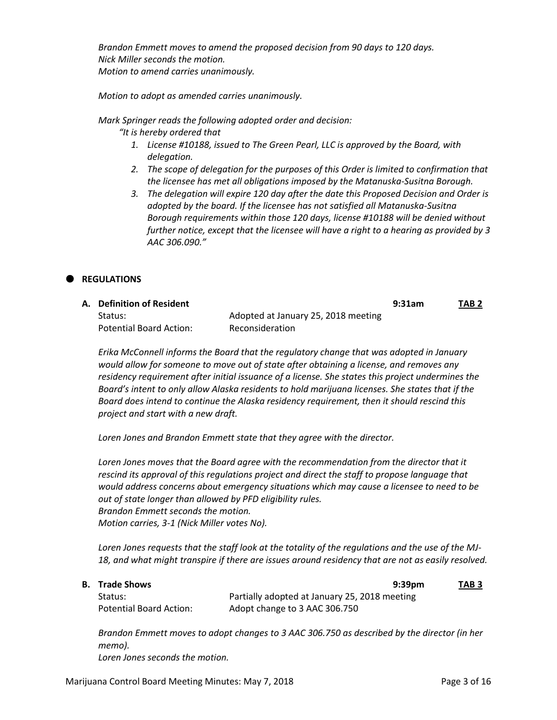*Brandon Emmett moves to amend the proposed decision from 90 days to 120 days. Nick Miller seconds the motion. Motion to amend carries unanimously.*

*Motion to adopt as amended carries unanimously.*

*Mark Springer reads the following adopted order and decision:*

*"It is hereby ordered that*

- *1. License #10188, issued to The Green Pearl, LLC is approved by the Board, with delegation.*
- *2. The scope of delegation for the purposes of this Order is limited to confirmation that the licensee has met all obligations imposed by the Matanuska-Susitna Borough.*
- *3. The delegation will expire 120 day after the date this Proposed Decision and Order is adopted by the board. If the licensee has not satisfied all Matanuska-Susitna Borough requirements within those 120 days, license #10188 will be denied without further notice, except that the licensee will have a right to a hearing as provided by 3 AAC 306.090."*

# **REGULATIONS**

| A. Definition of Resident l |                                     | 9:31am | TAB 2 |
|-----------------------------|-------------------------------------|--------|-------|
| Status:                     | Adopted at January 25, 2018 meeting |        |       |
| Potential Board Action:     | Reconsideration                     |        |       |

*Erika McConnell informs the Board that the regulatory change that was adopted in January would allow for someone to move out of state after obtaining a license, and removes any residency requirement after initial issuance of a license. She states this project undermines the Board's intent to only allow Alaska residents to hold marijuana licenses. She states that if the Board does intend to continue the Alaska residency requirement, then it should rescind this project and start with a new draft.*

*Loren Jones and Brandon Emmett state that they agree with the director.*

*Loren Jones moves that the Board agree with the recommendation from the director that it rescind its approval of this regulations project and direct the staff to propose language that would address concerns about emergency situations which may cause a licensee to need to be out of state longer than allowed by PFD eligibility rules. Brandon Emmett seconds the motion. Motion carries, 3-1 (Nick Miller votes No).*

*Loren Jones requests that the staff look at the totality of the regulations and the use of the MJ-18, and what might transpire if there are issues around residency that are not as easily resolved.*

| В. | <b>Trade Shows</b> |  |
|----|--------------------|--|
|----|--------------------|--|

**B. Trade Shows 9:39pm TAB 3** Status: Partially adopted at January 25, 2018 meeting Potential Board Action: Adopt change to 3 AAC 306.750

*Brandon Emmett moves to adopt changes to 3 AAC 306.750 as described by the director (in her memo). Loren Jones seconds the motion.*

Marijuana Control Board Meeting Minutes: May 7, 2018 **Page 3 of 16** Page 3 of 16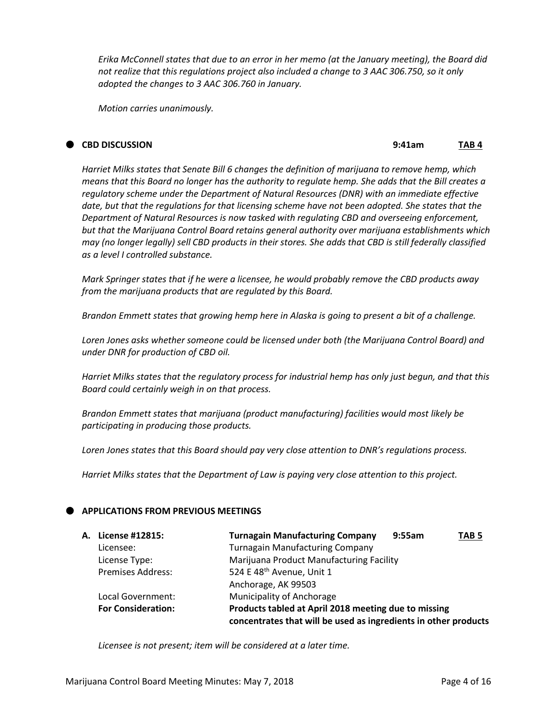*Erika McConnell states that due to an error in her memo (at the January meeting), the Board did not realize that this regulations project also included a change to 3 AAC 306.750, so it only adopted the changes to 3 AAC 306.760 in January.*

*Motion carries unanimously.*

### **CBD DISCUSSION 9:41am TAB 4**

*Harriet Milks states that Senate Bill 6 changes the definition of marijuana to remove hemp, which means that this Board no longer has the authority to regulate hemp. She adds that the Bill creates a regulatory scheme under the Department of Natural Resources (DNR) with an immediate effective date, but that the regulations for that licensing scheme have not been adopted. She states that the Department of Natural Resources is now tasked with regulating CBD and overseeing enforcement, but that the Marijuana Control Board retains general authority over marijuana establishments which may (no longer legally) sell CBD products in their stores. She adds that CBD is still federally classified as a level I controlled substance.*

*Mark Springer states that if he were a licensee, he would probably remove the CBD products away from the marijuana products that are regulated by this Board.*

*Brandon Emmett states that growing hemp here in Alaska is going to present a bit of a challenge.*

*Loren Jones asks whether someone could be licensed under both (the Marijuana Control Board) and under DNR for production of CBD oil.*

*Harriet Milks states that the regulatory process for industrial hemp has only just begun, and that this Board could certainly weigh in on that process.*

*Brandon Emmett states that marijuana (product manufacturing) facilities would most likely be participating in producing those products.*

*Loren Jones states that this Board should pay very close attention to DNR's regulations process.*

*Harriet Milks states that the Department of Law is paying very close attention to this project.*

# **APPLICATIONS FROM PREVIOUS MEETINGS**

| A. License #12815:        | <b>Turnagain Manufacturing Company</b>                          | 9:55am | TAB <sub>5</sub> |
|---------------------------|-----------------------------------------------------------------|--------|------------------|
| Licensee:                 | <b>Turnagain Manufacturing Company</b>                          |        |                  |
| License Type:             | Marijuana Product Manufacturing Facility                        |        |                  |
| <b>Premises Address:</b>  | 524 E 48 <sup>th</sup> Avenue, Unit 1                           |        |                  |
|                           | Anchorage, AK 99503                                             |        |                  |
| Local Government:         | Municipality of Anchorage                                       |        |                  |
| <b>For Consideration:</b> | Products tabled at April 2018 meeting due to missing            |        |                  |
|                           | concentrates that will be used as ingredients in other products |        |                  |

*Licensee is not present; item will be considered at a later time.*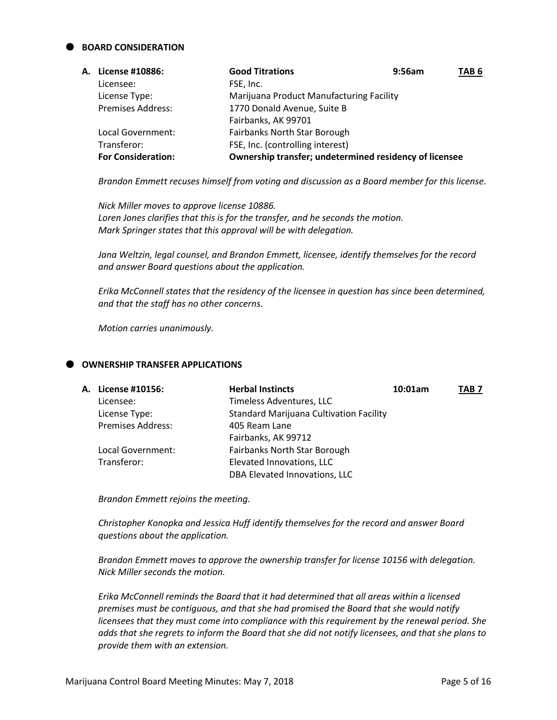# **BOARD CONSIDERATION**

| А. | License #10886:           | <b>Good Titrations</b>                                 | 9:56am | TAB <sub>6</sub> |
|----|---------------------------|--------------------------------------------------------|--------|------------------|
|    | Licensee:                 | FSE, Inc.                                              |        |                  |
|    | License Type:             | Marijuana Product Manufacturing Facility               |        |                  |
|    | <b>Premises Address:</b>  | 1770 Donald Avenue, Suite B                            |        |                  |
|    |                           | Fairbanks, AK 99701                                    |        |                  |
|    | Local Government:         | Fairbanks North Star Borough                           |        |                  |
|    | Transferor:               | FSE, Inc. (controlling interest)                       |        |                  |
|    | <b>For Consideration:</b> | Ownership transfer; undetermined residency of licensee |        |                  |

*Brandon Emmett recuses himself from voting and discussion as a Board member for this license.*

*Nick Miller moves to approve license 10886. Loren Jones clarifies that this is for the transfer, and he seconds the motion. Mark Springer states that this approval will be with delegation.*

*Jana Weltzin, legal counsel, and Brandon Emmett, licensee, identify themselves for the record and answer Board questions about the application.*

*Erika McConnell states that the residency of the licensee in question has since been determined, and that the staff has no other concerns.*

*Motion carries unanimously.*

# **OWNERSHIP TRANSFER APPLICATIONS**

| A. License #10156:       | <b>Herbal Instincts</b>                        | 10:01am | TAB 7 |
|--------------------------|------------------------------------------------|---------|-------|
| Licensee:                | Timeless Adventures, LLC                       |         |       |
| License Type:            | <b>Standard Marijuana Cultivation Facility</b> |         |       |
| <b>Premises Address:</b> | 405 Ream Lane                                  |         |       |
|                          | Fairbanks, AK 99712                            |         |       |
| Local Government:        | Fairbanks North Star Borough                   |         |       |
| Transferor:              | Elevated Innovations, LLC                      |         |       |
|                          | DBA Elevated Innovations, LLC                  |         |       |
|                          |                                                |         |       |

*Brandon Emmett rejoins the meeting.*

*Christopher Konopka and Jessica Huff identify themselves for the record and answer Board questions about the application.*

*Brandon Emmett moves to approve the ownership transfer for license 10156 with delegation. Nick Miller seconds the motion.*

*Erika McConnell reminds the Board that it had determined that all areas within a licensed premises must be contiguous, and that she had promised the Board that she would notify licensees that they must come into compliance with this requirement by the renewal period. She adds that she regrets to inform the Board that she did not notify licensees, and that she plans to provide them with an extension.*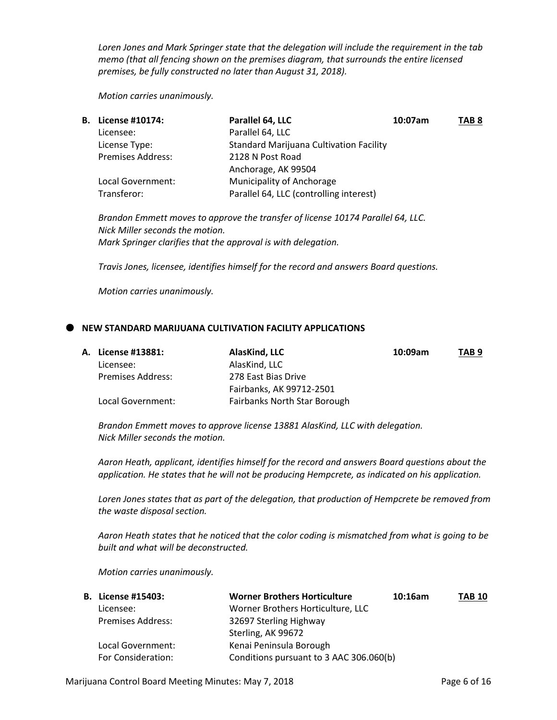*Loren Jones and Mark Springer state that the delegation will include the requirement in the tab memo (that all fencing shown on the premises diagram, that surrounds the entire licensed premises, be fully constructed no later than August 31, 2018).*

*Motion carries unanimously.*

| <b>B.</b> License #10174: | Parallel 64, LLC                               | 10:07am | TAB <sub>8</sub> |
|---------------------------|------------------------------------------------|---------|------------------|
| Licensee:                 | Parallel 64, LLC                               |         |                  |
| License Type:             | <b>Standard Marijuana Cultivation Facility</b> |         |                  |
| <b>Premises Address:</b>  | 2128 N Post Road                               |         |                  |
|                           | Anchorage, AK 99504                            |         |                  |
| Local Government:         | Municipality of Anchorage                      |         |                  |
| Transferor:               | Parallel 64, LLC (controlling interest)        |         |                  |
|                           |                                                |         |                  |

*Brandon Emmett moves to approve the transfer of license 10174 Parallel 64, LLC. Nick Miller seconds the motion. Mark Springer clarifies that the approval is with delegation.*

*Travis Jones, licensee, identifies himself for the record and answers Board questions.*

*Motion carries unanimously.*

#### **NEW STANDARD MARIJUANA CULTIVATION FACILITY APPLICATIONS**

|  | <b>A. License #13881:</b> | AlasKind, LLC                | 10:09am | TAB <sub>9</sub> |
|--|---------------------------|------------------------------|---------|------------------|
|  | Licensee:                 | AlasKind, LLC                |         |                  |
|  | Premises Address:         | 278 East Bias Drive          |         |                  |
|  |                           | Fairbanks, AK 99712-2501     |         |                  |
|  | Local Government:         | Fairbanks North Star Borough |         |                  |

*Brandon Emmett moves to approve license 13881 AlasKind, LLC with delegation. Nick Miller seconds the motion.*

*Aaron Heath, applicant, identifies himself for the record and answers Board questions about the application. He states that he will not be producing Hempcrete, as indicated on his application.*

*Loren Jones states that as part of the delegation, that production of Hempcrete be removed from the waste disposal section.*

*Aaron Heath states that he noticed that the color coding is mismatched from what is going to be built and what will be deconstructed.*

| <b>B.</b> License #15403: | <b>Worner Brothers Horticulture</b>     | 10:16am | <b>TAB 10</b> |
|---------------------------|-----------------------------------------|---------|---------------|
| Licensee:                 | Worner Brothers Horticulture, LLC       |         |               |
| <b>Premises Address:</b>  | 32697 Sterling Highway                  |         |               |
|                           | Sterling, AK 99672                      |         |               |
| Local Government:         | Kenai Peninsula Borough                 |         |               |
| For Consideration:        | Conditions pursuant to 3 AAC 306.060(b) |         |               |
|                           |                                         |         |               |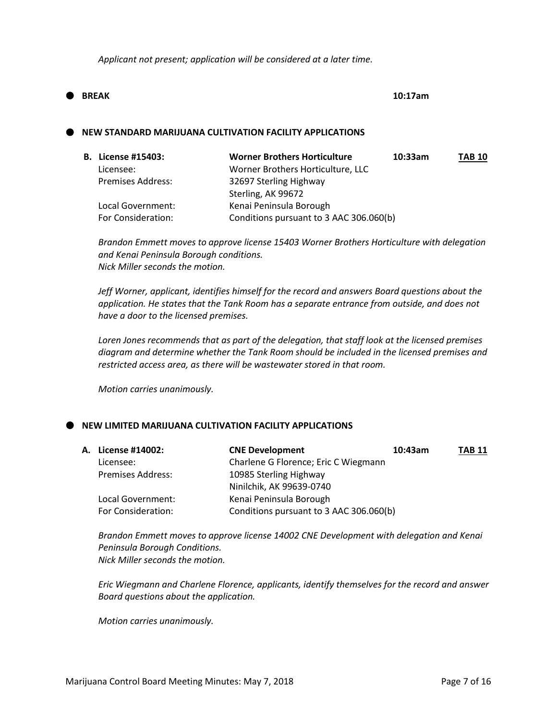*Applicant not present; application will be considered at a later time.*

# **BREAK 10:17am**

### **NEW STANDARD MARIJUANA CULTIVATION FACILITY APPLICATIONS**

| <b>B.</b> License #15403: | <b>Worner Brothers Horticulture</b>     | 10:33am | <b>TAB 10</b> |
|---------------------------|-----------------------------------------|---------|---------------|
| Licensee:                 | Worner Brothers Horticulture, LLC       |         |               |
| <b>Premises Address:</b>  | 32697 Sterling Highway                  |         |               |
|                           | Sterling, AK 99672                      |         |               |
| Local Government:         | Kenai Peninsula Borough                 |         |               |
| For Consideration:        | Conditions pursuant to 3 AAC 306.060(b) |         |               |
|                           |                                         |         |               |

*Brandon Emmett moves to approve license 15403 Worner Brothers Horticulture with delegation and Kenai Peninsula Borough conditions. Nick Miller seconds the motion.*

*Jeff Worner, applicant, identifies himself for the record and answers Board questions about the application. He states that the Tank Room has a separate entrance from outside, and does not have a door to the licensed premises.*

*Loren Jones recommends that as part of the delegation, that staff look at the licensed premises diagram and determine whether the Tank Room should be included in the licensed premises and restricted access area, as there will be wastewater stored in that room.*

*Motion carries unanimously.*

# **NEW LIMITED MARIJUANA CULTIVATION FACILITY APPLICATIONS**

| A. License #14002:       | <b>CNE Development</b><br>10:43am       | <b>TAB 11</b> |
|--------------------------|-----------------------------------------|---------------|
| Licensee:                | Charlene G Florence; Eric C Wiegmann    |               |
| <b>Premises Address:</b> | 10985 Sterling Highway                  |               |
|                          | Ninilchik, AK 99639-0740                |               |
| Local Government:        | Kenai Peninsula Borough                 |               |
| For Consideration:       | Conditions pursuant to 3 AAC 306.060(b) |               |

*Brandon Emmett moves to approve license 14002 CNE Development with delegation and Kenai Peninsula Borough Conditions. Nick Miller seconds the motion.*

*Eric Wiegmann and Charlene Florence, applicants, identify themselves for the record and answer Board questions about the application.*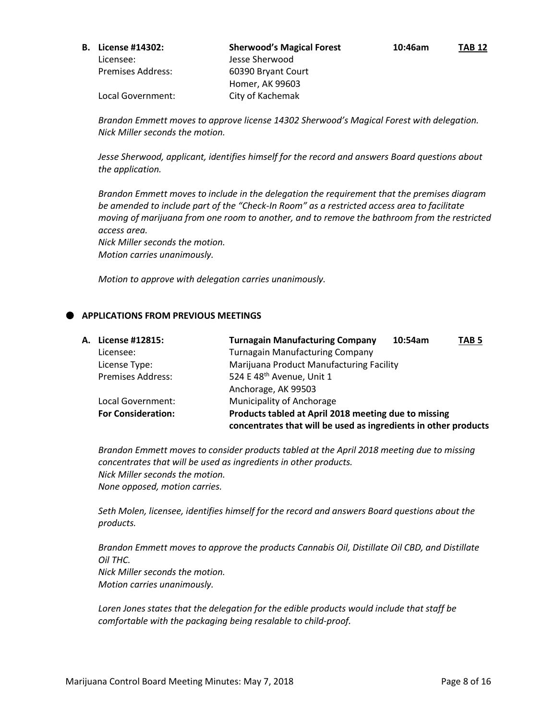Local Government: City of Kachemak

*Brandon Emmett moves to approve license 14302 Sherwood's Magical Forest with delegation. Nick Miller seconds the motion.*

*Jesse Sherwood, applicant, identifies himself for the record and answers Board questions about the application.*

*Brandon Emmett moves to include in the delegation the requirement that the premises diagram be amended to include part of the "Check-In Room" as a restricted access area to facilitate moving of marijuana from one room to another, and to remove the bathroom from the restricted access area.* 

*Nick Miller seconds the motion. Motion carries unanimously.*

*Motion to approve with delegation carries unanimously.*

# **APPLICATIONS FROM PREVIOUS MEETINGS**

| A. License #12815:        | <b>Turnagain Manufacturing Company</b>                          | 10:54am | TAB <sub>5</sub> |
|---------------------------|-----------------------------------------------------------------|---------|------------------|
| Licensee:                 | <b>Turnagain Manufacturing Company</b>                          |         |                  |
| License Type:             | Marijuana Product Manufacturing Facility                        |         |                  |
| <b>Premises Address:</b>  | 524 E 48 <sup>th</sup> Avenue, Unit 1                           |         |                  |
|                           | Anchorage, AK 99503                                             |         |                  |
| Local Government:         | Municipality of Anchorage                                       |         |                  |
| <b>For Consideration:</b> | Products tabled at April 2018 meeting due to missing            |         |                  |
|                           | concentrates that will be used as ingredients in other products |         |                  |

*Brandon Emmett moves to consider products tabled at the April 2018 meeting due to missing concentrates that will be used as ingredients in other products. Nick Miller seconds the motion. None opposed, motion carries.*

*Seth Molen, licensee, identifies himself for the record and answers Board questions about the products.*

*Brandon Emmett moves to approve the products Cannabis Oil, Distillate Oil CBD, and Distillate Oil THC. Nick Miller seconds the motion. Motion carries unanimously.*

*Loren Jones states that the delegation for the edible products would include that staff be comfortable with the packaging being resalable to child-proof.*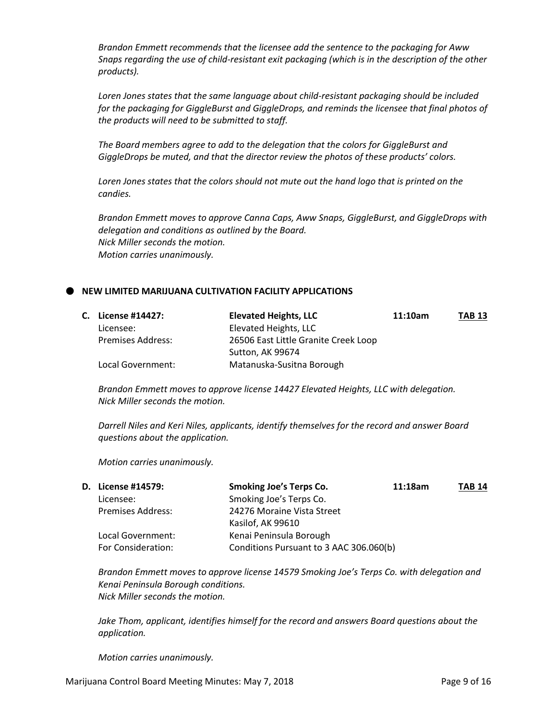*Brandon Emmett recommends that the licensee add the sentence to the packaging for Aww Snaps regarding the use of child-resistant exit packaging (which is in the description of the other products).*

*Loren Jones states that the same language about child-resistant packaging should be included for the packaging for GiggleBurst and GiggleDrops, and reminds the licensee that final photos of the products will need to be submitted to staff.*

*The Board members agree to add to the delegation that the colors for GiggleBurst and GiggleDrops be muted, and that the director review the photos of these products' colors.*

Loren Jones states that the colors should not mute out the hand logo that is printed on the *candies.*

*Brandon Emmett moves to approve Canna Caps, Aww Snaps, GiggleBurst, and GiggleDrops with delegation and conditions as outlined by the Board. Nick Miller seconds the motion. Motion carries unanimously.*

### **NEW LIMITED MARIJUANA CULTIVATION FACILITY APPLICATIONS**

|  | C. License #14427:       | <b>Elevated Heights, LLC</b>         | 11:10am | <b>TAB 13</b> |
|--|--------------------------|--------------------------------------|---------|---------------|
|  | Licensee:                | Elevated Heights, LLC                |         |               |
|  | <b>Premises Address:</b> | 26506 East Little Granite Creek Loop |         |               |
|  |                          | Sutton, AK 99674                     |         |               |
|  | Local Government:        | Matanuska-Susitna Borough            |         |               |

*Brandon Emmett moves to approve license 14427 Elevated Heights, LLC with delegation. Nick Miller seconds the motion.*

*Darrell Niles and Keri Niles, applicants, identify themselves for the record and answer Board questions about the application.*

*Motion carries unanimously.*

| <b>D.</b> License #14579: | <b>Smoking Joe's Terps Co.</b><br>11:18am | <b>TAB 14</b> |
|---------------------------|-------------------------------------------|---------------|
| Licensee:                 | Smoking Joe's Terps Co.                   |               |
| <b>Premises Address:</b>  | 24276 Moraine Vista Street                |               |
|                           | Kasilof, AK 99610                         |               |
| Local Government:         | Kenai Peninsula Borough                   |               |
| For Consideration:        | Conditions Pursuant to 3 AAC 306.060(b)   |               |

*Brandon Emmett moves to approve license 14579 Smoking Joe's Terps Co. with delegation and Kenai Peninsula Borough conditions. Nick Miller seconds the motion.*

*Jake Thom, applicant, identifies himself for the record and answers Board questions about the application.*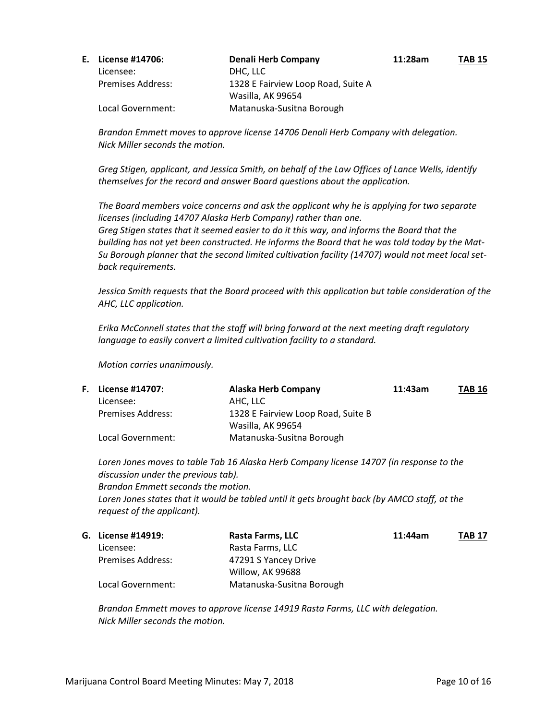| E. License #14706:       | <b>Denali Herb Company</b>         | 11:28am | <b>TAB 15</b> |
|--------------------------|------------------------------------|---------|---------------|
| Licensee:                | DHC. LLC                           |         |               |
| <b>Premises Address:</b> | 1328 E Fairview Loop Road, Suite A |         |               |
|                          | Wasilla, AK 99654                  |         |               |
| Local Government:        | Matanuska-Susitna Borough          |         |               |

*Brandon Emmett moves to approve license 14706 Denali Herb Company with delegation. Nick Miller seconds the motion.*

*Greg Stigen, applicant, and Jessica Smith, on behalf of the Law Offices of Lance Wells, identify themselves for the record and answer Board questions about the application.*

*The Board members voice concerns and ask the applicant why he is applying for two separate licenses (including 14707 Alaska Herb Company) rather than one. Greg Stigen states that it seemed easier to do it this way, and informs the Board that the building has not yet been constructed. He informs the Board that he was told today by the Mat-Su Borough planner that the second limited cultivation facility (14707) would not meet local setback requirements.*

*Jessica Smith requests that the Board proceed with this application but table consideration of the AHC, LLC application.*

*Erika McConnell states that the staff will bring forward at the next meeting draft regulatory language to easily convert a limited cultivation facility to a standard.*

*Motion carries unanimously.*

| <b>F.</b> License #14707: | <b>Alaska Herb Company</b>         | 11:43am | <b>TAB 16</b> |
|---------------------------|------------------------------------|---------|---------------|
| Licensee:                 | AHC. LLC                           |         |               |
| <b>Premises Address:</b>  | 1328 E Fairview Loop Road, Suite B |         |               |
|                           | Wasilla, AK 99654                  |         |               |
| Local Government:         | Matanuska-Susitna Borough          |         |               |

*Loren Jones moves to table Tab 16 Alaska Herb Company license 14707 (in response to the discussion under the previous tab). Brandon Emmett seconds the motion. Loren Jones states that it would be tabled until it gets brought back (by AMCO staff, at the request of the applicant).*

| G. License #14919:       | Rasta Farms, LLC          | 11:44am | <b>TAB 17</b> |
|--------------------------|---------------------------|---------|---------------|
| Licensee:                | Rasta Farms, LLC          |         |               |
| <b>Premises Address:</b> | 47291 S Yancey Drive      |         |               |
|                          | Willow, AK 99688          |         |               |
| Local Government:        | Matanuska-Susitna Borough |         |               |

*Brandon Emmett moves to approve license 14919 Rasta Farms, LLC with delegation. Nick Miller seconds the motion.*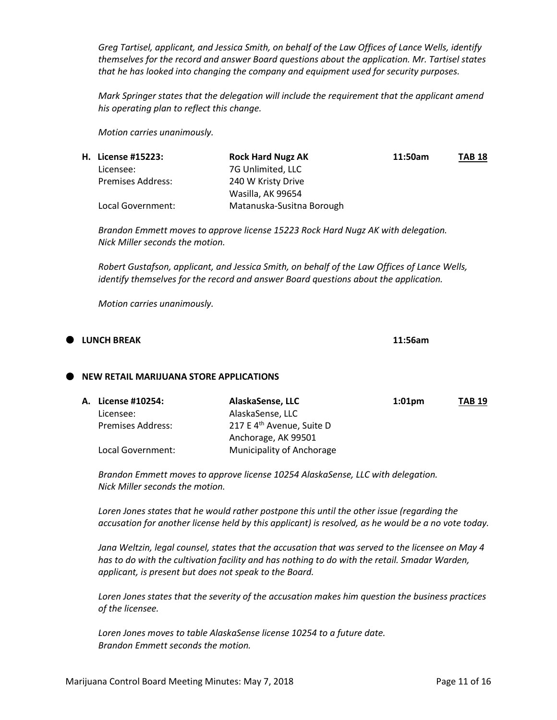*Greg Tartisel, applicant, and Jessica Smith, on behalf of the Law Offices of Lance Wells, identify themselves for the record and answer Board questions about the application. Mr. Tartisel states that he has looked into changing the company and equipment used for security purposes.*

*Mark Springer states that the delegation will include the requirement that the applicant amend his operating plan to reflect this change.*

*Motion carries unanimously.*

| <b>H. License #15223:</b> | <b>Rock Hard Nugz AK</b>  | 11:50am | <b>TAB 18</b> |
|---------------------------|---------------------------|---------|---------------|
| Licensee:                 | 7G Unlimited, LLC         |         |               |
| <b>Premises Address:</b>  | 240 W Kristy Drive        |         |               |
|                           | Wasilla, AK 99654         |         |               |
| Local Government:         | Matanuska-Susitna Borough |         |               |

*Brandon Emmett moves to approve license 15223 Rock Hard Nugz AK with delegation. Nick Miller seconds the motion.*

*Robert Gustafson, applicant, and Jessica Smith, on behalf of the Law Offices of Lance Wells, identify themselves for the record and answer Board questions about the application.*

*Motion carries unanimously.*

# **LUNCH BREAK 11:56am**

#### **NEW RETAIL MARIJUANA STORE APPLICATIONS**

|  | A. License #10254:       | AlaskaSense, LLC                      | $1:01$ pm | <b>TAB 19</b> |
|--|--------------------------|---------------------------------------|-----------|---------------|
|  | Licensee:                | AlaskaSense, LLC                      |           |               |
|  | <b>Premises Address:</b> | 217 E 4 <sup>th</sup> Avenue, Suite D |           |               |
|  |                          | Anchorage, AK 99501                   |           |               |
|  | Local Government:        | Municipality of Anchorage             |           |               |

*Brandon Emmett moves to approve license 10254 AlaskaSense, LLC with delegation. Nick Miller seconds the motion.*

*Loren Jones states that he would rather postpone this until the other issue (regarding the accusation for another license held by this applicant) is resolved, as he would be a no vote today.*

*Jana Weltzin, legal counsel, states that the accusation that was served to the licensee on May 4 has to do with the cultivation facility and has nothing to do with the retail. Smadar Warden, applicant, is present but does not speak to the Board.*

*Loren Jones states that the severity of the accusation makes him question the business practices of the licensee.*

*Loren Jones moves to table AlaskaSense license 10254 to a future date. Brandon Emmett seconds the motion.*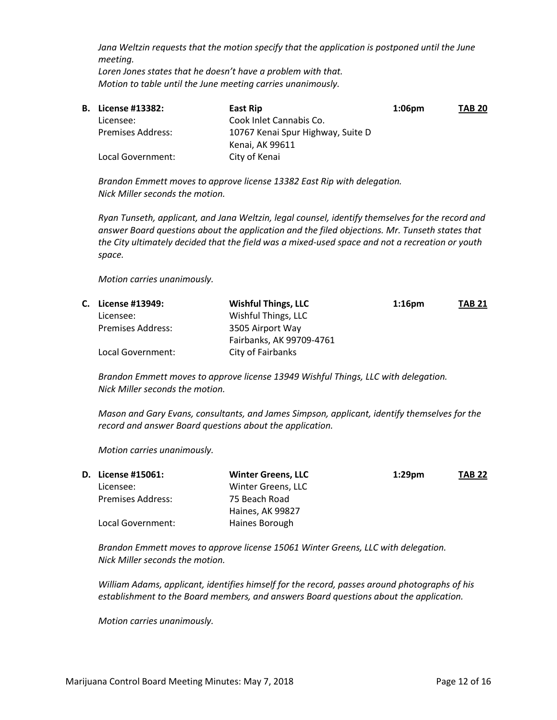*Jana Weltzin requests that the motion specify that the application is postponed until the June meeting. Loren Jones states that he doesn't have a problem with that. Motion to table until the June meeting carries unanimously.*

| <b>B.</b> License #13382: | East Rip                          | $1:06$ pm | <b>TAB 20</b> |
|---------------------------|-----------------------------------|-----------|---------------|
| Licensee:                 | Cook Inlet Cannabis Co.           |           |               |
| <b>Premises Address:</b>  | 10767 Kenai Spur Highway, Suite D |           |               |
|                           | Kenai, AK 99611                   |           |               |
| Local Government:         | City of Kenai                     |           |               |
|                           |                                   |           |               |

*Brandon Emmett moves to approve license 13382 East Rip with delegation. Nick Miller seconds the motion.*

*Ryan Tunseth, applicant, and Jana Weltzin, legal counsel, identify themselves for the record and answer Board questions about the application and the filed objections. Mr. Tunseth states that the City ultimately decided that the field was a mixed-used space and not a recreation or youth space.*

*Motion carries unanimously.*

| C. License #13949:       | <b>Wishful Things, LLC</b> | $1:16$ pm | <b>TAB 21</b> |
|--------------------------|----------------------------|-----------|---------------|
| Licensee:                | Wishful Things, LLC        |           |               |
| <b>Premises Address:</b> | 3505 Airport Way           |           |               |
|                          | Fairbanks, AK 99709-4761   |           |               |
| Local Government:        | City of Fairbanks          |           |               |

*Brandon Emmett moves to approve license 13949 Wishful Things, LLC with delegation. Nick Miller seconds the motion.*

*Mason and Gary Evans, consultants, and James Simpson, applicant, identify themselves for the record and answer Board questions about the application.*

*Motion carries unanimously.*

| <b>D.</b> License #15061: | <b>Winter Greens, LLC</b> | $1:29$ pm | <b>TAB 22</b> |
|---------------------------|---------------------------|-----------|---------------|
| Licensee:                 | Winter Greens, LLC        |           |               |
| Premises Address:         | 75 Beach Road             |           |               |
|                           | Haines, AK 99827          |           |               |
| Local Government:         | Haines Borough            |           |               |

*Brandon Emmett moves to approve license 15061 Winter Greens, LLC with delegation. Nick Miller seconds the motion.*

*William Adams, applicant, identifies himself for the record, passes around photographs of his establishment to the Board members, and answers Board questions about the application.*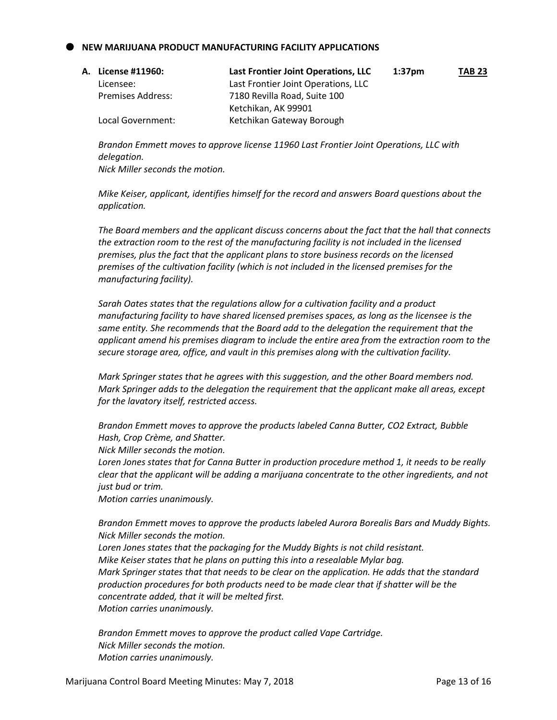# **NEW MARIJUANA PRODUCT MANUFACTURING FACILITY APPLICATIONS**

| A. License #11960: .     | Last Frontier Joint Operations, LLC | 1:37 <sub>pm</sub> | <b>TAB 23</b> |
|--------------------------|-------------------------------------|--------------------|---------------|
| Licensee:                | Last Frontier Joint Operations, LLC |                    |               |
| <b>Premises Address:</b> | 7180 Revilla Road, Suite 100        |                    |               |
|                          | Ketchikan, AK 99901                 |                    |               |
| Local Government:        | Ketchikan Gateway Borough           |                    |               |

*Brandon Emmett moves to approve license 11960 Last Frontier Joint Operations, LLC with delegation. Nick Miller seconds the motion.*

*Mike Keiser, applicant, identifies himself for the record and answers Board questions about the application.*

*The Board members and the applicant discuss concerns about the fact that the hall that connects the extraction room to the rest of the manufacturing facility is not included in the licensed premises, plus the fact that the applicant plans to store business records on the licensed premises of the cultivation facility (which is not included in the licensed premises for the manufacturing facility).*

*Sarah Oates states that the regulations allow for a cultivation facility and a product manufacturing facility to have shared licensed premises spaces, as long as the licensee is the same entity. She recommends that the Board add to the delegation the requirement that the applicant amend his premises diagram to include the entire area from the extraction room to the secure storage area, office, and vault in this premises along with the cultivation facility.*

*Mark Springer states that he agrees with this suggestion, and the other Board members nod. Mark Springer adds to the delegation the requirement that the applicant make all areas, except for the lavatory itself, restricted access.*

*Brandon Emmett moves to approve the products labeled Canna Butter, CO2 Extract, Bubble Hash, Crop Crème, and Shatter.*

*Nick Miller seconds the motion.*

*Loren Jones states that for Canna Butter in production procedure method 1, it needs to be really clear that the applicant will be adding a marijuana concentrate to the other ingredients, and not just bud or trim.*

*Motion carries unanimously.*

*Brandon Emmett moves to approve the products labeled Aurora Borealis Bars and Muddy Bights. Nick Miller seconds the motion.*

*Loren Jones states that the packaging for the Muddy Bights is not child resistant. Mike Keiser states that he plans on putting this into a resealable Mylar bag. Mark Springer states that that needs to be clear on the application. He adds that the standard production procedures for both products need to be made clear that if shatter will be the concentrate added, that it will be melted first. Motion carries unanimously.*

*Brandon Emmett moves to approve the product called Vape Cartridge. Nick Miller seconds the motion. Motion carries unanimously.*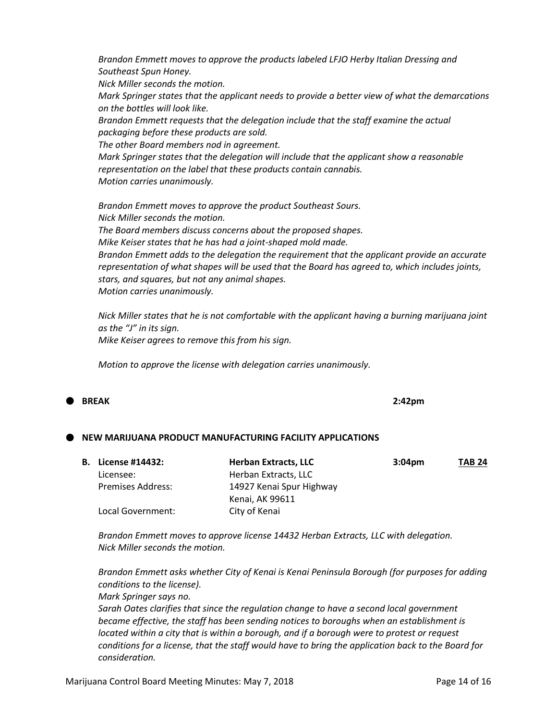*Brandon Emmett moves to approve the products labeled LFJO Herby Italian Dressing and Southeast Spun Honey. Nick Miller seconds the motion. Mark Springer states that the applicant needs to provide a better view of what the demarcations on the bottles will look like. Brandon Emmett requests that the delegation include that the staff examine the actual packaging before these products are sold. The other Board members nod in agreement. Mark Springer states that the delegation will include that the applicant show a reasonable representation on the label that these products contain cannabis. Motion carries unanimously. Brandon Emmett moves to approve the product Southeast Sours. Nick Miller seconds the motion. The Board members discuss concerns about the proposed shapes.*

*Mike Keiser states that he has had a joint-shaped mold made.*

*Brandon Emmett adds to the delegation the requirement that the applicant provide an accurate representation of what shapes will be used that the Board has agreed to, which includes joints, stars, and squares, but not any animal shapes. Motion carries unanimously.*

*Nick Miller states that he is not comfortable with the applicant having a burning marijuana joint as the "J" in its sign. Mike Keiser agrees to remove this from his sign.*

*Motion to approve the license with delegation carries unanimously.*

**BREAK 2:42pm**

# **NEW MARIJUANA PRODUCT MANUFACTURING FACILITY APPLICATIONS**

| <b>B.</b> License #14432: | <b>Herban Extracts, LLC</b> | 3:04 <sub>pm</sub> | <b>TAB 24</b> |
|---------------------------|-----------------------------|--------------------|---------------|
| Licensee:                 | Herban Extracts, LLC        |                    |               |
| <b>Premises Address:</b>  | 14927 Kenai Spur Highway    |                    |               |
|                           | Kenai, AK 99611             |                    |               |
| Local Government:         | City of Kenai               |                    |               |

*Brandon Emmett moves to approve license 14432 Herban Extracts, LLC with delegation. Nick Miller seconds the motion.*

*Brandon Emmett asks whether City of Kenai is Kenai Peninsula Borough (for purposes for adding conditions to the license).*

*Mark Springer says no.*

*Sarah Oates clarifies that since the regulation change to have a second local government became effective, the staff has been sending notices to boroughs when an establishment is located within a city that is within a borough, and if a borough were to protest or request conditions for a license, that the staff would have to bring the application back to the Board for consideration.*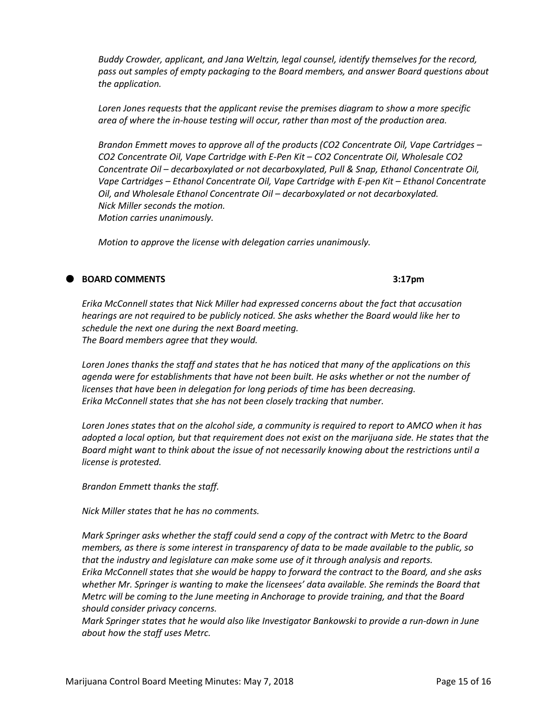*Buddy Crowder, applicant, and Jana Weltzin, legal counsel, identify themselves for the record, pass out samples of empty packaging to the Board members, and answer Board questions about the application.*

*Loren Jones requests that the applicant revise the premises diagram to show a more specific area of where the in-house testing will occur, rather than most of the production area.*

*Brandon Emmett moves to approve all of the products (CO2 Concentrate Oil, Vape Cartridges – CO2 Concentrate Oil, Vape Cartridge with E-Pen Kit – CO2 Concentrate Oil, Wholesale CO2 Concentrate Oil – decarboxylated or not decarboxylated, Pull & Snap, Ethanol Concentrate Oil, Vape Cartridges – Ethanol Concentrate Oil, Vape Cartridge with E-pen Kit – Ethanol Concentrate Oil, and Wholesale Ethanol Concentrate Oil – decarboxylated or not decarboxylated. Nick Miller seconds the motion. Motion carries unanimously.*

*Motion to approve the license with delegation carries unanimously.*

#### **BOARD COMMENTS 3:17pm**

*Erika McConnell states that Nick Miller had expressed concerns about the fact that accusation hearings are not required to be publicly noticed. She asks whether the Board would like her to schedule the next one during the next Board meeting. The Board members agree that they would.*

*Loren Jones thanks the staff and states that he has noticed that many of the applications on this agenda were for establishments that have not been built. He asks whether or not the number of licenses that have been in delegation for long periods of time has been decreasing. Erika McConnell states that she has not been closely tracking that number.*

*Loren Jones states that on the alcohol side, a community is required to report to AMCO when it has adopted a local option, but that requirement does not exist on the marijuana side. He states that the Board might want to think about the issue of not necessarily knowing about the restrictions until a license is protested.*

*Brandon Emmett thanks the staff.*

*Nick Miller states that he has no comments.*

*Mark Springer asks whether the staff could send a copy of the contract with Metrc to the Board members, as there is some interest in transparency of data to be made available to the public, so that the industry and legislature can make some use of it through analysis and reports. Erika McConnell states that she would be happy to forward the contract to the Board, and she asks whether Mr. Springer is wanting to make the licensees' data available. She reminds the Board that Metrc will be coming to the June meeting in Anchorage to provide training, and that the Board should consider privacy concerns.*

*Mark Springer states that he would also like Investigator Bankowski to provide a run-down in June about how the staff uses Metrc.*